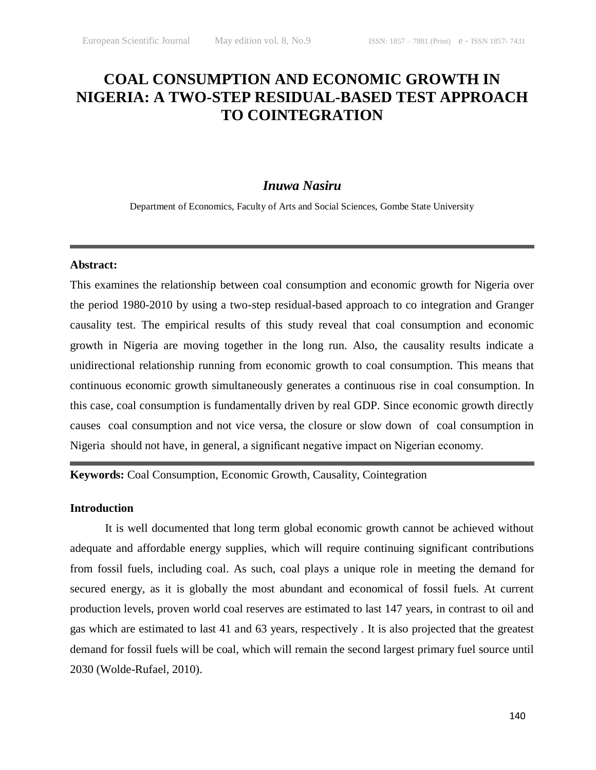# **COAL CONSUMPTION AND ECONOMIC GROWTH IN NIGERIA: A TWO-STEP RESIDUAL-BASED TEST APPROACH TO COINTEGRATION**

# *Inuwa Nasiru*

Department of Economics, Faculty of Arts and Social Sciences, Gombe State University

#### **Abstract:**

This examines the relationship between coal consumption and economic growth for Nigeria over the period 1980-2010 by using a two-step residual-based approach to co integration and Granger causality test. The empirical results of this study reveal that coal consumption and economic growth in Nigeria are moving together in the long run. Also, the causality results indicate a unidirectional relationship running from economic growth to coal consumption. This means that continuous economic growth simultaneously generates a continuous rise in coal consumption. In this case, coal consumption is fundamentally driven by real GDP. Since economic growth directly causes coal consumption and not vice versa, the closure or slow down of coal consumption in Nigeria should not have, in general, a significant negative impact on Nigerian economy.

# **Keywords:** Coal Consumption, Economic Growth, Causality, Cointegration

# **Introduction**

It is well documented that long term global economic growth cannot be achieved without adequate and affordable energy supplies, which will require continuing significant contributions from fossil fuels, including coal. As such, coal plays a unique role in meeting the demand for secured energy, as it is globally the most abundant and economical of fossil fuels. At current production levels, proven world coal reserves are estimated to last 147 years, in contrast to oil and gas which are estimated to last 41 and 63 years, respectively . It is also projected that the greatest demand for fossil fuels will be coal, which will remain the second largest primary fuel source until 2030 (Wolde-Rufael, 2010).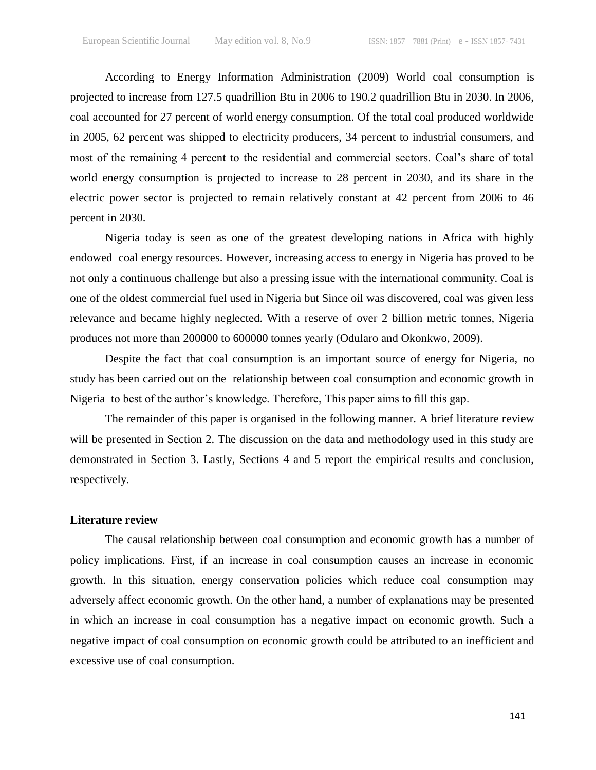According to Energy Information Administration (2009) World coal consumption is projected to increase from 127.5 quadrillion Btu in 2006 to 190.2 quadrillion Btu in 2030. In 2006, coal accounted for 27 percent of world energy consumption. Of the total coal produced worldwide in 2005, 62 percent was shipped to electricity producers, 34 percent to industrial consumers, and most of the remaining 4 percent to the residential and commercial sectors. Coal's share of total world energy consumption is projected to increase to 28 percent in 2030, and its share in the electric power sector is projected to remain relatively constant at 42 percent from 2006 to 46 percent in 2030.

Nigeria today is seen as one of the greatest developing nations in Africa with highly endowed coal energy resources. However, increasing access to energy in Nigeria has proved to be not only a continuous challenge but also a pressing issue with the international community. Coal is one of the oldest commercial fuel used in Nigeria but Since oil was discovered, coal was given less relevance and became highly neglected. With a reserve of over 2 billion metric tonnes, Nigeria produces not more than 200000 to 600000 tonnes yearly (Odularo and Okonkwo, 2009).

Despite the fact that coal consumption is an important source of energy for Nigeria, no study has been carried out on the relationship between coal consumption and economic growth in Nigeria to best of the author's knowledge. Therefore, This paper aims to fill this gap.

The remainder of this paper is organised in the following manner. A brief literature review will be presented in Section 2. The discussion on the data and methodology used in this study are demonstrated in Section 3. Lastly, Sections 4 and 5 report the empirical results and conclusion, respectively.

## **Literature review**

The causal relationship between coal consumption and economic growth has a number of policy implications. First, if an increase in coal consumption causes an increase in economic growth. In this situation, energy conservation policies which reduce coal consumption may adversely affect economic growth. On the other hand, a number of explanations may be presented in which an increase in coal consumption has a negative impact on economic growth. Such a negative impact of coal consumption on economic growth could be attributed to an inefficient and excessive use of coal consumption.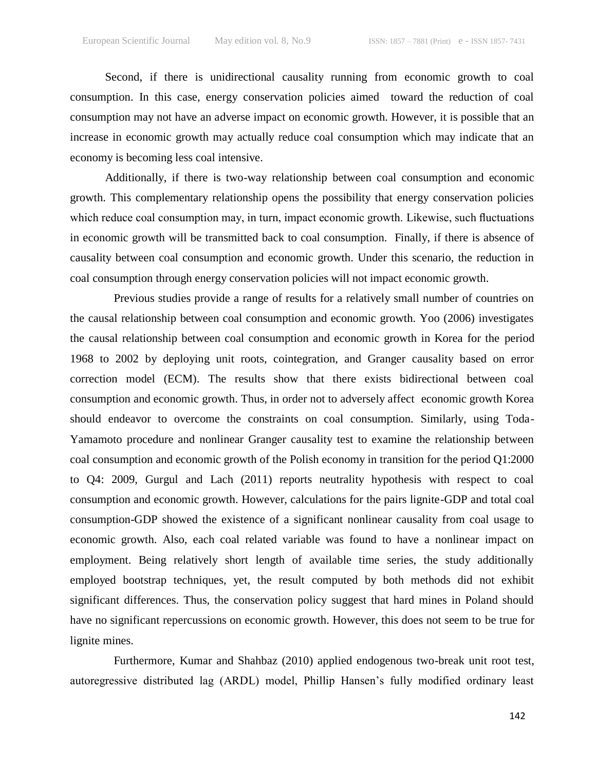Second, if there is unidirectional causality running from economic growth to coal consumption. In this case, energy conservation policies aimed toward the reduction of coal consumption may not have an adverse impact on economic growth. However, it is possible that an increase in economic growth may actually reduce coal consumption which may indicate that an economy is becoming less coal intensive.

Additionally, if there is two-way relationship between coal consumption and economic growth. This complementary relationship opens the possibility that energy conservation policies which reduce coal consumption may, in turn, impact economic growth. Likewise, such fluctuations in economic growth will be transmitted back to coal consumption. Finally, if there is absence of causality between coal consumption and economic growth. Under this scenario, the reduction in coal consumption through energy conservation policies will not impact economic growth.

Previous studies provide a range of results for a relatively small number of countries on the causal relationship between coal consumption and economic growth. Yoo (2006) investigates the causal relationship between coal consumption and economic growth in Korea for the period 1968 to 2002 by deploying unit roots, cointegration, and Granger causality based on error correction model (ECM). The results show that there exists bidirectional between coal consumption and economic growth. Thus, in order not to adversely affect economic growth Korea should endeavor to overcome the constraints on coal consumption. Similarly, using Toda-Yamamoto procedure and nonlinear Granger causality test to examine the relationship between coal consumption and economic growth of the Polish economy in transition for the period Q1:2000 to Q4: 2009, Gurgul and Lach (2011) reports neutrality hypothesis with respect to coal consumption and economic growth. However, calculations for the pairs lignite-GDP and total coal consumption-GDP showed the existence of a significant nonlinear causality from coal usage to economic growth. Also, each coal related variable was found to have a nonlinear impact on employment. Being relatively short length of available time series, the study additionally employed bootstrap techniques, yet, the result computed by both methods did not exhibit significant differences. Thus, the conservation policy suggest that hard mines in Poland should have no significant repercussions on economic growth. However, this does not seem to be true for lignite mines.

Furthermore, Kumar and Shahbaz (2010) applied endogenous two-break unit root test, autoregressive distributed lag (ARDL) model, Phillip Hansen's fully modified ordinary least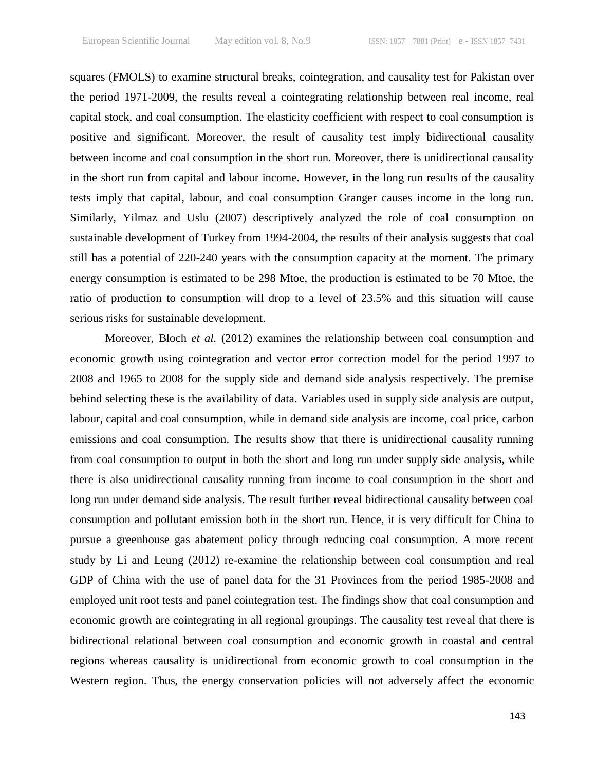squares (FMOLS) to examine structural breaks, cointegration, and causality test for Pakistan over the period 1971-2009, the results reveal a cointegrating relationship between real income, real capital stock, and coal consumption. The elasticity coefficient with respect to coal consumption is positive and significant. Moreover, the result of causality test imply bidirectional causality between income and coal consumption in the short run. Moreover, there is unidirectional causality in the short run from capital and labour income. However, in the long run results of the causality tests imply that capital, labour, and coal consumption Granger causes income in the long run. Similarly, Yilmaz and Uslu (2007) descriptively analyzed the role of coal consumption on sustainable development of Turkey from 1994-2004, the results of their analysis suggests that coal still has a potential of 220-240 years with the consumption capacity at the moment. The primary energy consumption is estimated to be 298 Mtoe, the production is estimated to be 70 Mtoe, the ratio of production to consumption will drop to a level of 23.5% and this situation will cause serious risks for sustainable development.

Moreover, Bloch *et al.* (2012) examines the relationship between coal consumption and economic growth using cointegration and vector error correction model for the period 1997 to 2008 and 1965 to 2008 for the supply side and demand side analysis respectively. The premise behind selecting these is the availability of data. Variables used in supply side analysis are output, labour, capital and coal consumption, while in demand side analysis are income, coal price, carbon emissions and coal consumption. The results show that there is unidirectional causality running from coal consumption to output in both the short and long run under supply side analysis, while there is also unidirectional causality running from income to coal consumption in the short and long run under demand side analysis. The result further reveal bidirectional causality between coal consumption and pollutant emission both in the short run. Hence, it is very difficult for China to pursue a greenhouse gas abatement policy through reducing coal consumption. A more recent study by Li and Leung (2012) re-examine the relationship between coal consumption and real GDP of China with the use of panel data for the 31 Provinces from the period 1985-2008 and employed unit root tests and panel cointegration test. The findings show that coal consumption and economic growth are cointegrating in all regional groupings. The causality test reveal that there is bidirectional relational between coal consumption and economic growth in coastal and central regions whereas causality is unidirectional from economic growth to coal consumption in the Western region. Thus, the energy conservation policies will not adversely affect the economic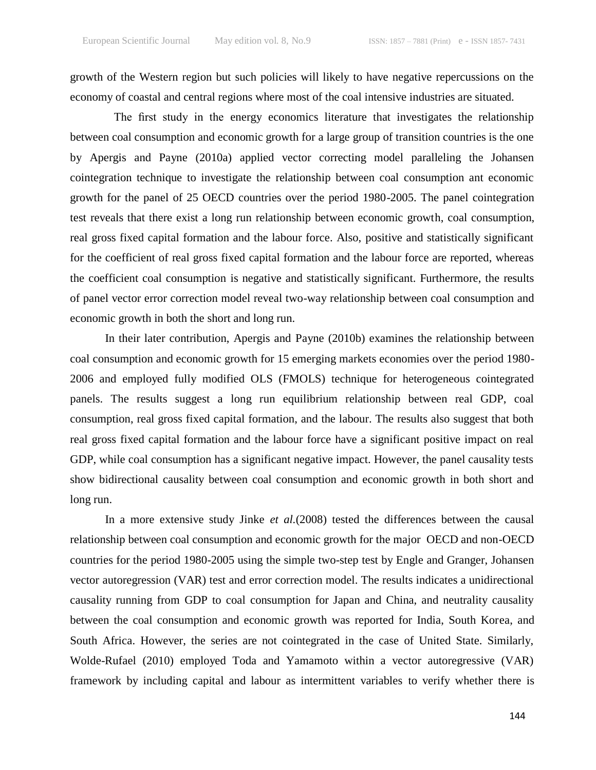growth of the Western region but such policies will likely to have negative repercussions on the economy of coastal and central regions where most of the coal intensive industries are situated.

The first study in the energy economics literature that investigates the relationship between coal consumption and economic growth for a large group of transition countries is the one by Apergis and Payne (2010a) applied vector correcting model paralleling the Johansen cointegration technique to investigate the relationship between coal consumption ant economic growth for the panel of 25 OECD countries over the period 1980-2005. The panel cointegration test reveals that there exist a long run relationship between economic growth, coal consumption, real gross fixed capital formation and the labour force. Also, positive and statistically significant for the coefficient of real gross fixed capital formation and the labour force are reported, whereas the coefficient coal consumption is negative and statistically significant. Furthermore, the results of panel vector error correction model reveal two-way relationship between coal consumption and economic growth in both the short and long run.

In their later contribution, Apergis and Payne (2010b) examines the relationship between coal consumption and economic growth for 15 emerging markets economies over the period 1980- 2006 and employed fully modified OLS (FMOLS) technique for heterogeneous cointegrated panels. The results suggest a long run equilibrium relationship between real GDP, coal consumption, real gross fixed capital formation, and the labour. The results also suggest that both real gross fixed capital formation and the labour force have a significant positive impact on real GDP, while coal consumption has a significant negative impact. However, the panel causality tests show bidirectional causality between coal consumption and economic growth in both short and long run.

In a more extensive study Jinke *et al.*(2008) tested the differences between the causal relationship between coal consumption and economic growth for the major OECD and non-OECD countries for the period 1980-2005 using the simple two-step test by Engle and Granger, Johansen vector autoregression (VAR) test and error correction model. The results indicates a unidirectional causality running from GDP to coal consumption for Japan and China, and neutrality causality between the coal consumption and economic growth was reported for India, South Korea, and South Africa. However, the series are not cointegrated in the case of United State. Similarly, Wolde-Rufael (2010) employed Toda and Yamamoto within a vector autoregressive (VAR) framework by including capital and labour as intermittent variables to verify whether there is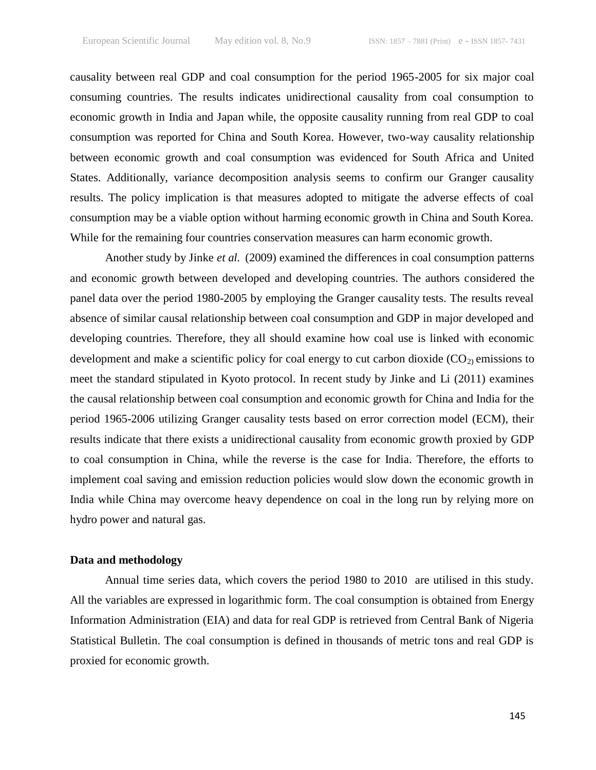causality between real GDP and coal consumption for the period 1965-2005 for six major coal consuming countries. The results indicates unidirectional causality from coal consumption to economic growth in India and Japan while, the opposite causality running from real GDP to coal consumption was reported for China and South Korea. However, two-way causality relationship between economic growth and coal consumption was evidenced for South Africa and United States. Additionally, variance decomposition analysis seems to confirm our Granger causality results. The policy implication is that measures adopted to mitigate the adverse effects of coal consumption may be a viable option without harming economic growth in China and South Korea. While for the remaining four countries conservation measures can harm economic growth.

Another study by Jinke *et al.* (2009) examined the differences in coal consumption patterns and economic growth between developed and developing countries. The authors considered the panel data over the period 1980-2005 by employing the Granger causality tests. The results reveal absence of similar causal relationship between coal consumption and GDP in major developed and developing countries. Therefore, they all should examine how coal use is linked with economic development and make a scientific policy for coal energy to cut carbon dioxide  $(CO<sub>2</sub>)$  emissions to meet the standard stipulated in Kyoto protocol. In recent study by Jinke and Li (2011) examines the causal relationship between coal consumption and economic growth for China and India for the period 1965-2006 utilizing Granger causality tests based on error correction model (ECM), their results indicate that there exists a unidirectional causality from economic growth proxied by GDP to coal consumption in China, while the reverse is the case for India. Therefore, the efforts to implement coal saving and emission reduction policies would slow down the economic growth in India while China may overcome heavy dependence on coal in the long run by relying more on hydro power and natural gas.

#### **Data and methodology**

Annual time series data, which covers the period 1980 to 2010 are utilised in this study. All the variables are expressed in logarithmic form. The coal consumption is obtained from Energy Information Administration (EIA) and data for real GDP is retrieved from Central Bank of Nigeria Statistical Bulletin. The coal consumption is defined in thousands of metric tons and real GDP is proxied for economic growth.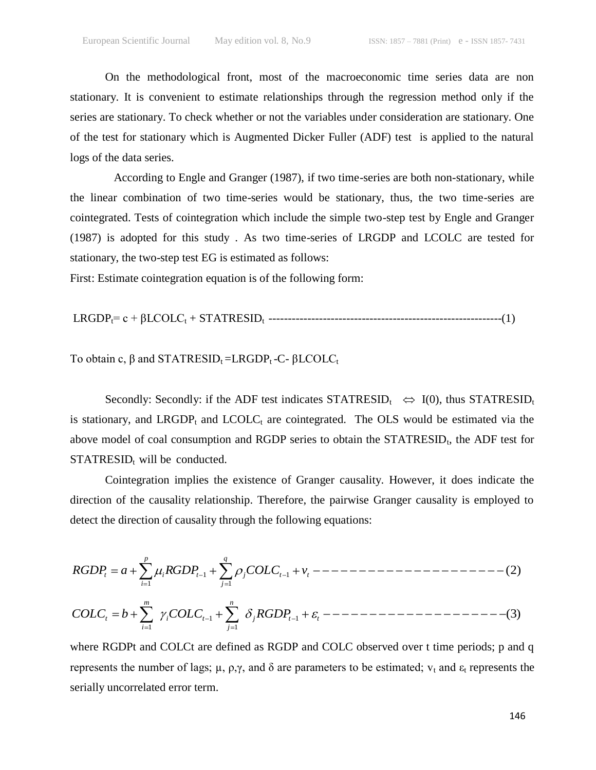On the methodological front, most of the macroeconomic time series data are non stationary. It is convenient to estimate relationships through the regression method only if the series are stationary. To check whether or not the variables under consideration are stationary. One of the test for stationary which is Augmented Dicker Fuller (ADF) test is applied to the natural logs of the data series.

According to Engle and Granger (1987), if two time-series are both non-stationary, while the linear combination of two time-series would be stationary, thus, the two time-series are cointegrated. Tests of cointegration which include the simple two-step test by Engle and Granger (1987) is adopted for this study . As two time-series of LRGDP and LCOLC are tested for stationary, the two-step test EG is estimated as follows:

First: Estimate cointegration equation is of the following form:

LRGDPt= c + βLCOLC<sup>t</sup> + STATRESIDt ------------------------------------------------------------(1)

To obtain c,  $\beta$  and STATRESID<sub>t</sub>=LRGDP<sub>t</sub>-C- $\beta$ LCOLC<sub>t</sub>

Secondly: Secondly: if the ADF test indicates  $STATRESID_t \Leftrightarrow I(0)$ , thus  $STATRESID_t$ is stationary, and LRGDP<sub>t</sub> and LCOLC<sub>t</sub> are cointegrated. The OLS would be estimated via the above model of coal consumption and RGDP series to obtain the  $STATRESID_t$ , the ADF test for  $STATRESID_t$  will be conducted.

Cointegration implies the existence of Granger causality. However, it does indicate the direction of the causality relationship. Therefore, the pairwise Granger causality is employed to detect the direction of causality through the following equations:

1 1 1 1 (2) *p q t i t j t t i j RGDP a RGDP COLC v* 1 1 1 1 (3) *m n t i t j t t i j COLC b COLC RGDP*

where RGDPt and COLCt are defined as RGDP and COLC observed over t time periods; p and q represents the number of lags;  $\mu$ ,  $\rho$ , $\gamma$ , and  $\delta$  are parameters to be estimated;  $v_t$  and  $\varepsilon_t$  represents the serially uncorrelated error term.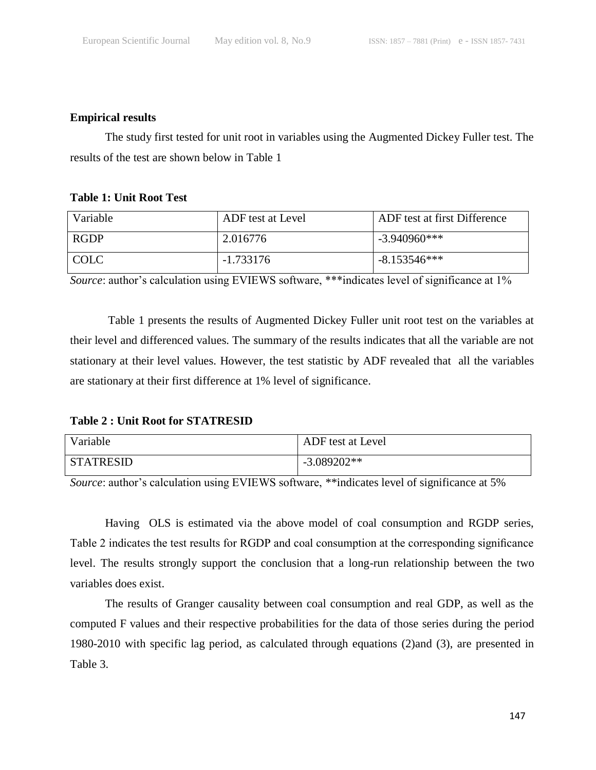# **Empirical results**

The study first tested for unit root in variables using the Augmented Dickey Fuller test. The results of the test are shown below in Table 1

# **Table 1: Unit Root Test**

| Variable    | ADF test at Level | ADF test at first Difference |
|-------------|-------------------|------------------------------|
| <b>RGDP</b> | 2.016776          | $-3.940960$ ***              |
| COLC        | -1.733176         | $-8.153546***$               |

*Source*: author's calculation using EVIEWS software, \*\*\*indicates level of significance at 1%

Table 1 presents the results of Augmented Dickey Fuller unit root test on the variables at their level and differenced values. The summary of the results indicates that all the variable are not stationary at their level values. However, the test statistic by ADF revealed that all the variables are stationary at their first difference at 1% level of significance.

**Table 2 : Unit Root for STATRESID**

| Variable         | ADF test at Level |
|------------------|-------------------|
| <b>STATRESID</b> | $-3.089202**$     |

*Source*: author's calculation using EVIEWS software, \*\*indicates level of significance at 5%

Having OLS is estimated via the above model of coal consumption and RGDP series, Table 2 indicates the test results for RGDP and coal consumption at the corresponding significance level. The results strongly support the conclusion that a long-run relationship between the two variables does exist.

The results of Granger causality between coal consumption and real GDP, as well as the computed F values and their respective probabilities for the data of those series during the period 1980-2010 with specific lag period, as calculated through equations (2)and (3), are presented in Table 3.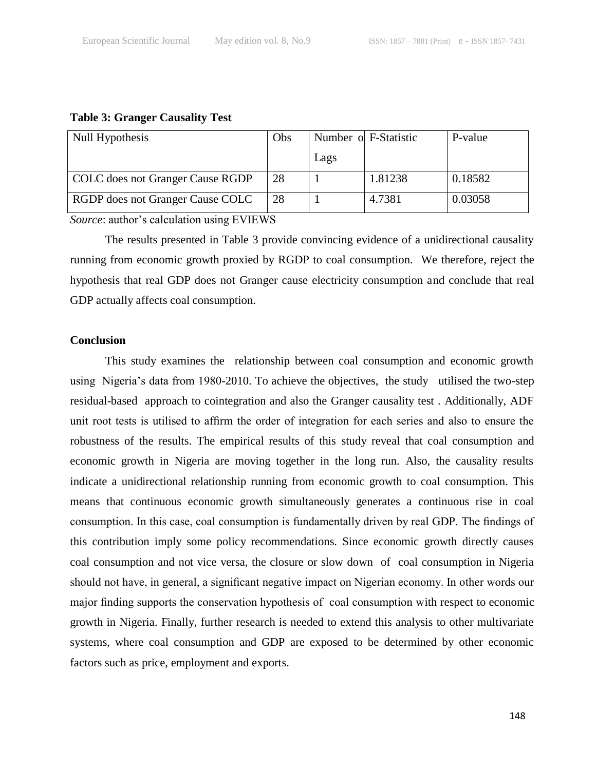#### **Table 3: Granger Causality Test**

| Null Hypothesis                  | Obs |      | Number of F-Statistic | P-value |
|----------------------------------|-----|------|-----------------------|---------|
|                                  |     | Lags |                       |         |
| COLC does not Granger Cause RGDP | 28  |      | 1.81238               | 0.18582 |
| RGDP does not Granger Cause COLC | 28  |      | 4.7381                | 0.03058 |

*Source*: author's calculation using EVIEWS

The results presented in Table 3 provide convincing evidence of a unidirectional causality running from economic growth proxied by RGDP to coal consumption. We therefore, reject the hypothesis that real GDP does not Granger cause electricity consumption and conclude that real GDP actually affects coal consumption.

#### **Conclusion**

This study examines the relationship between coal consumption and economic growth using Nigeria's data from 1980-2010. To achieve the objectives, the study utilised the two-step residual-based approach to cointegration and also the Granger causality test . Additionally, ADF unit root tests is utilised to affirm the order of integration for each series and also to ensure the robustness of the results. The empirical results of this study reveal that coal consumption and economic growth in Nigeria are moving together in the long run. Also, the causality results indicate a unidirectional relationship running from economic growth to coal consumption. This means that continuous economic growth simultaneously generates a continuous rise in coal consumption. In this case, coal consumption is fundamentally driven by real GDP. The findings of this contribution imply some policy recommendations. Since economic growth directly causes coal consumption and not vice versa, the closure or slow down of coal consumption in Nigeria should not have, in general, a significant negative impact on Nigerian economy. In other words our major finding supports the conservation hypothesis of coal consumption with respect to economic growth in Nigeria. Finally, further research is needed to extend this analysis to other multivariate systems, where coal consumption and GDP are exposed to be determined by other economic factors such as price, employment and exports.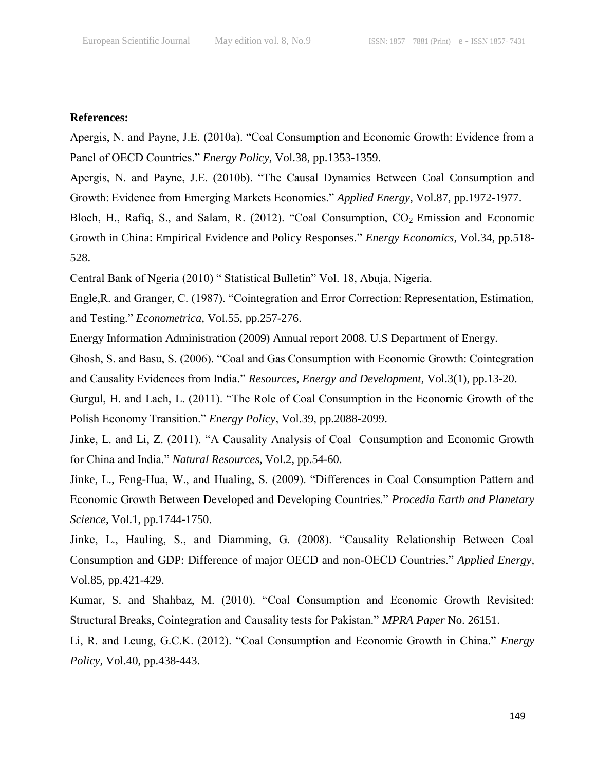### **References:**

Apergis, N. and Payne, J.E. (2010a). "Coal Consumption and Economic Growth: Evidence from a Panel of OECD Countries." *Energy Policy*, Vol.38, pp.1353-1359.

Apergis, N. and Payne, J.E. (2010b). "The Causal Dynamics Between Coal Consumption and Growth: Evidence from Emerging Markets Economies." *Applied Energy*, Vol.87, pp.1972-1977.

Bloch, H., Rafiq, S., and Salam, R. (2012). "Coal Consumption,  $CO<sub>2</sub>$  Emission and Economic Growth in China: Empirical Evidence and Policy Responses." *Energy Economics*, Vol.34, pp.518- 528.

Central Bank of Ngeria (2010) " Statistical Bulletin" Vol. 18, Abuja, Nigeria.

Engle,R. and Granger, C. (1987). "Cointegration and Error Correction: Representation, Estimation, and Testing." *Econometrica,* Vol.55, pp.257-276.

Energy Information Administration (2009) Annual report 2008. U.S Department of Energy.

Ghosh, S. and Basu, S. (2006). "Coal and Gas Consumption with Economic Growth: Cointegration and Causality Evidences from India." *Resources, Energy and Development,* Vol.3(1), pp.13-20.

Gurgul, H. and Lach, L. (2011). "The Role of Coal Consumption in the Economic Growth of the Polish Economy Transition." *Energy Policy*, Vol.39, pp.2088-2099.

Jinke, L. and Li, Z. (2011). "A Causality Analysis of Coal Consumption and Economic Growth for China and India." *Natural Resources,* Vol.2, pp.54-60.

Jinke, L., Feng-Hua, W., and Hualing, S. (2009). "Differences in Coal Consumption Pattern and Economic Growth Between Developed and Developing Countries." *Procedia Earth and Planetary Science*, Vol.1, pp.1744-1750.

Jinke, L., Hauling, S., and Diamming, G. (2008). "Causality Relationship Between Coal Consumption and GDP: Difference of major OECD and non-OECD Countries." *Applied Energy,* Vol.85, pp.421-429.

Kumar, S. and Shahbaz, M. (2010). "Coal Consumption and Economic Growth Revisited: Structural Breaks, Cointegration and Causality tests for Pakistan." *MPRA Paper* No. 26151.

Li, R. and Leung, G.C.K. (2012). "Coal Consumption and Economic Growth in China." *Energy Policy,* Vol.40, pp.438-443.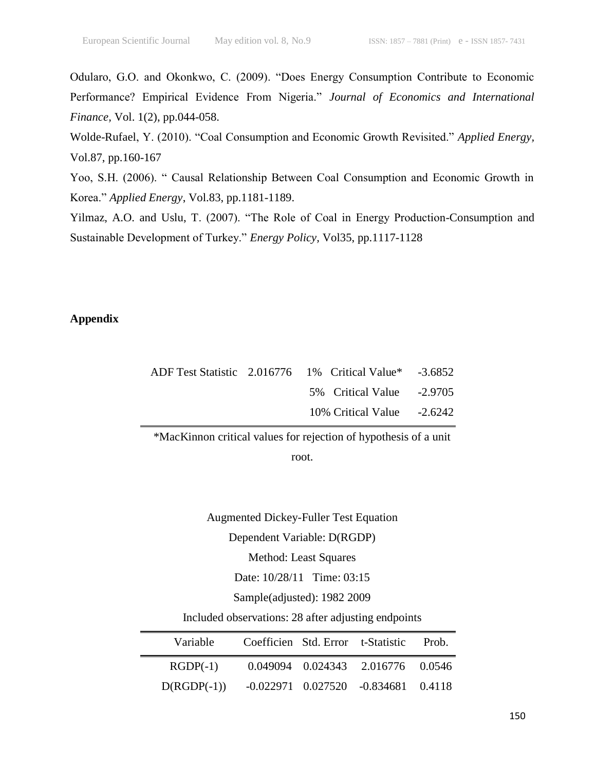Odularo, G.O. and Okonkwo, C. (2009). "Does Energy Consumption Contribute to Economic Performance? Empirical Evidence From Nigeria." *Journal of Economics and International Finance,* Vol. 1(2), pp.044-058.

Wolde-Rufael, Y. (2010). "Coal Consumption and Economic Growth Revisited." *Applied Energy,* Vol.87, pp.160-167

Yoo, S.H. (2006). " Causal Relationship Between Coal Consumption and Economic Growth in Korea." *Applied Energy*, Vol.83, pp.1181-1189.

Yilmaz, A.O. and Uslu, T. (2007). "The Role of Coal in Energy Production-Consumption and Sustainable Development of Turkey." *Energy Policy,* Vol35, pp.1117-1128

## **Appendix**

|  | ADF Test Statistic 2.016776 1% Critical Value* -3.6852 |  |
|--|--------------------------------------------------------|--|
|  | 5% Critical Value -2.9705                              |  |
|  | $10\%$ Critical Value $-2.6242$                        |  |

\*MacKinnon critical values for rejection of hypothesis of a unit

root.

Augmented Dickey-Fuller Test Equation Dependent Variable: D(RGDP) Method: Least Squares Date: 10/28/11 Time: 03:15 Sample(adjusted): 1982 2009 Included observations: 28 after adjusting endpoints

| Variable      |  | Coefficien Std. Error t-Statistic           | Prob. |
|---------------|--|---------------------------------------------|-------|
| $RGDP(-1)$    |  | 0.049094 0.024343 2.016776 0.0546           |       |
| $D(RGDP(-1))$ |  | $-0.022971$ $0.027520$ $-0.834681$ $0.4118$ |       |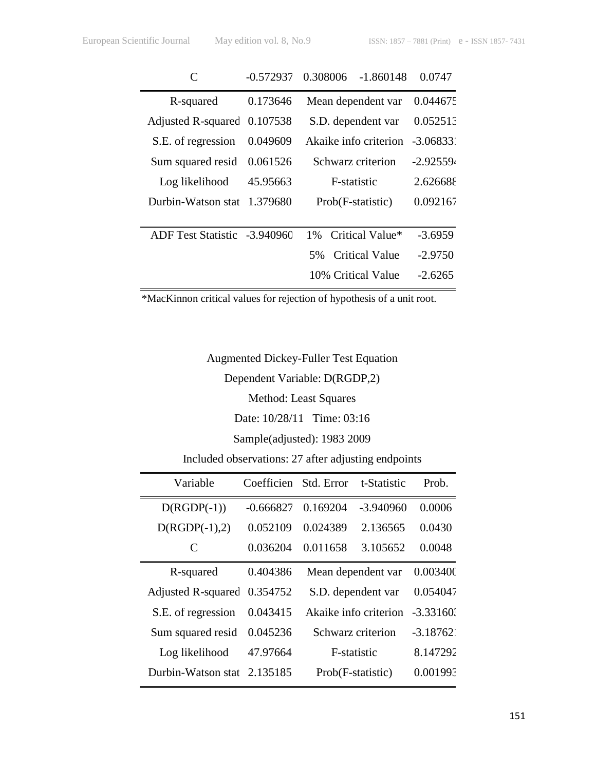|                              | $-0.572937$ | 0.308006<br>$-1.860148$     | 0.0747      |
|------------------------------|-------------|-----------------------------|-------------|
| R-squared                    | 0.173646    | Mean dependent var          | 0.044675    |
| Adjusted R-squared 0.107538  |             | S.D. dependent var          | 0.052513    |
| S.E. of regression           | 0.049609    | Akaike info criterion       | $-3.06833$  |
| Sum squared resid            | 0.061526    | Schwarz criterion           | $-2.925594$ |
| Log likelihood               | 45.95663    | F-statistic                 | 2.626688    |
| Durbin-Watson stat           | 1.379680    | Prob(F-statistic)           | 0.092167    |
|                              |             |                             |             |
| ADF Test Statistic -3.940960 |             | Critical Value*<br>$1\%$    | $-3.6959$   |
|                              |             | <b>Critical Value</b><br>5% | $-2.9750$   |
|                              |             | 10% Critical Value          | -2.6265     |

\*MacKinnon critical values for rejection of hypothesis of a unit root.

Augmented Dickey-Fuller Test Equation

Dependent Variable: D(RGDP,2)

Method: Least Squares

Date: 10/28/11 Time: 03:16

Sample(adjusted): 1983 2009

Included observations: 27 after adjusting endpoints

| Variable                  | Coefficien  | Std. Error            | t-Statistic | Prob.       |
|---------------------------|-------------|-----------------------|-------------|-------------|
| $D(RGDP(-1))$             | $-0.666827$ | 0.169204              | $-3.940960$ | 0.0006      |
| $D(RGDP(-1),2)$           | 0.052109    | 0.024389              | 2.136565    | 0.0430      |
| C                         | 0.036204    | 0.011658              | 3.105652    | 0.0048      |
| R-squared                 | 0.404386    | Mean dependent var    |             | 0.003400    |
| <b>Adjusted R-squared</b> | 0.354752    | S.D. dependent var    |             | 0.054047    |
| S.E. of regression        | 0.043415    | Akaike info criterion |             | $-3.33160.$ |
| Sum squared resid         | 0.045236    | Schwarz criterion     |             | $-3.18762$  |
| Log likelihood            | 47.97664    | F-statistic           |             | 8.147292    |
| Durbin-Watson stat        | 2.135185    | Prob(F-statistic)     |             | 0.001993    |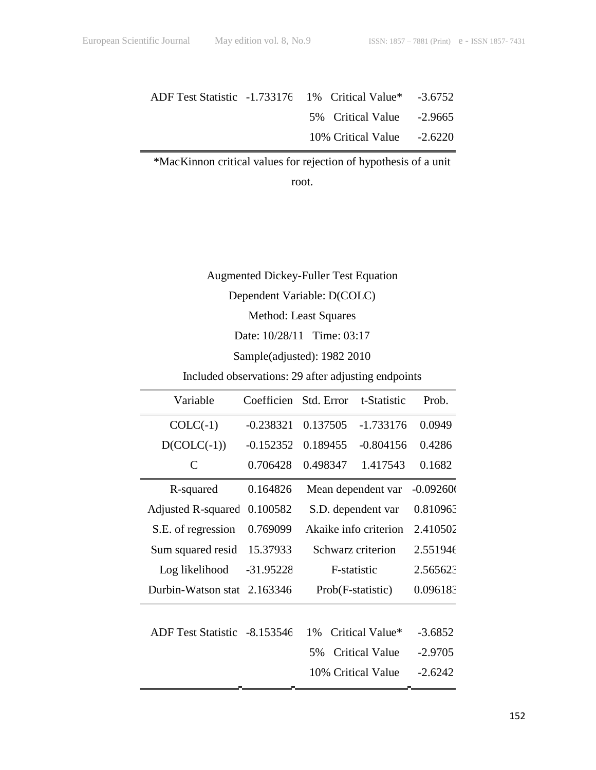| ADF Test Statistic -1.733176 1% Critical Value* -3.6752 |                                 |  |
|---------------------------------------------------------|---------------------------------|--|
|                                                         | 5\% Critical Value -2.9665      |  |
|                                                         | $10\%$ Critical Value $-2.6220$ |  |

\*MacKinnon critical values for rejection of hypothesis of a unit

root.

Augmented Dickey-Fuller Test Equation

Dependent Variable: D(COLC)

Method: Least Squares

Date: 10/28/11 Time: 03:17

Sample(adjusted): 1982 2010

Included observations: 29 after adjusting endpoints

| Variable                     | Coefficien  | Std. Error            | t-Statistic           | Prob.      |
|------------------------------|-------------|-----------------------|-----------------------|------------|
| $COLC(-1)$                   | $-0.238321$ | 0.137505              | $-1.733176$           | 0.0949     |
| $D(COLC(-1))$                | $-0.152352$ | 0.189455              | $-0.804156$           | 0.4286     |
| C                            | 0.706428    | 0.498347              | 1.417543              | 0.1682     |
| R-squared                    | 0.164826    |                       | Mean dependent var    | $-0.09260$ |
| Adjusted R-squared           | 0.100582    |                       | S.D. dependent var    | 0.810963   |
| S.E. of regression           | 0.769099    | Akaike info criterion |                       | 2.410502   |
| Sum squared resid            | 15.37933    | Schwarz criterion     |                       | 2.551946   |
| Log likelihood               | $-31.95228$ | F-statistic           |                       | 2.565623   |
| Durbin-Watson stat           | 2.163346    | Prob(F-statistic)     |                       | 0.096183   |
|                              |             |                       |                       |            |
| ADF Test Statistic -8.153546 |             | 1%                    | Critical Value*       | $-3.6852$  |
|                              |             | 5%                    | <b>Critical Value</b> | $-2.9705$  |
|                              |             |                       | 10% Critical Value    | $-2.6242$  |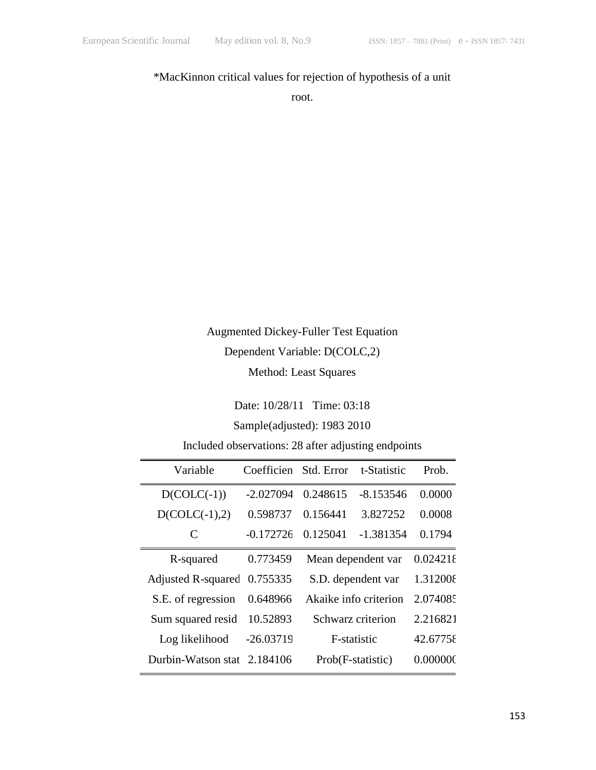# \*MacKinnon critical values for rejection of hypothesis of a unit

root.

# Augmented Dickey-Fuller Test Equation Dependent Variable: D(COLC,2) Method: Least Squares

Date: 10/28/11 Time: 03:18

# Sample(adjusted): 1983 2010

Included observations: 28 after adjusting endpoints

| Variable           | Coefficien  | Std. Error            | t-Statistic | Prob.    |
|--------------------|-------------|-----------------------|-------------|----------|
| $D(COLC(-1))$      | $-2.027094$ | 0.248615              | $-8.153546$ | 0.0000   |
| $D(COLC(-1),2)$    | 0.598737    | 0.156441              | 3.827252    | 0.0008   |
| C                  | $-0.172726$ | 0.125041              | $-1.381354$ | 0.1794   |
| R-squared          | 0.773459    | Mean dependent var    |             | 0.024218 |
| Adjusted R-squared | 0.755335    | S.D. dependent var    |             | 1.312008 |
| S.E. of regression | 0.648966    | Akaike info criterion |             | 2.074085 |
| Sum squared resid  | 10.52893    | Schwarz criterion     |             | 2.216821 |
| Log likelihood     | $-26.03719$ | F-statistic           |             | 42.67758 |
| Durbin-Watson stat | 2.184106    | Prob(F-statistic)     |             | 0.000000 |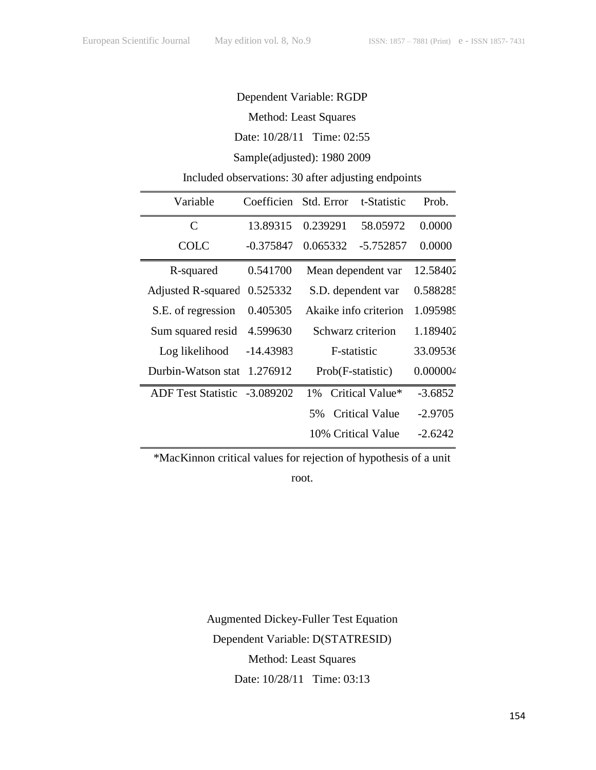# Dependent Variable: RGDP

Method: Least Squares

Date: 10/28/11 Time: 02:55

## Sample(adjusted): 1980 2009

# Included observations: 30 after adjusting endpoints

| Variable                  | Coefficien  | Std. Error            | t-Statistic        | Prob.     |
|---------------------------|-------------|-----------------------|--------------------|-----------|
| $\mathcal{C}$             | 13.89315    | 0.239291              | 58.05972           | 0.0000    |
| <b>COLC</b>               | -0.375847   | 0.065332              | -5.752857          | 0.0000    |
| R-squared                 | 0.541700    |                       | Mean dependent var | 12.58402  |
| <b>Adjusted R-squared</b> | 0.525332    | S.D. dependent var    |                    | 0.588285  |
| S.E. of regression        | 0.405305    | Akaike info criterion |                    | 1.095989  |
| Sum squared resid         | 4.599630    | Schwarz criterion     |                    | 1.189402  |
| Log likelihood            | -14.43983   | F-statistic           |                    | 33.09536  |
| Durbin-Watson stat        | 1.276912    | Prob(F-statistic)     |                    | 0.000004  |
| ADF Test Statistic        | $-3.089202$ | $1\%$                 | Critical Value*    | $-3.6852$ |
|                           |             | 5%                    | Critical Value     | $-2.9705$ |
|                           |             |                       | 10% Critical Value | $-2.6242$ |

\*MacKinnon critical values for rejection of hypothesis of a unit

root.

Augmented Dickey-Fuller Test Equation Dependent Variable: D(STATRESID) Method: Least Squares Date: 10/28/11 Time: 03:13